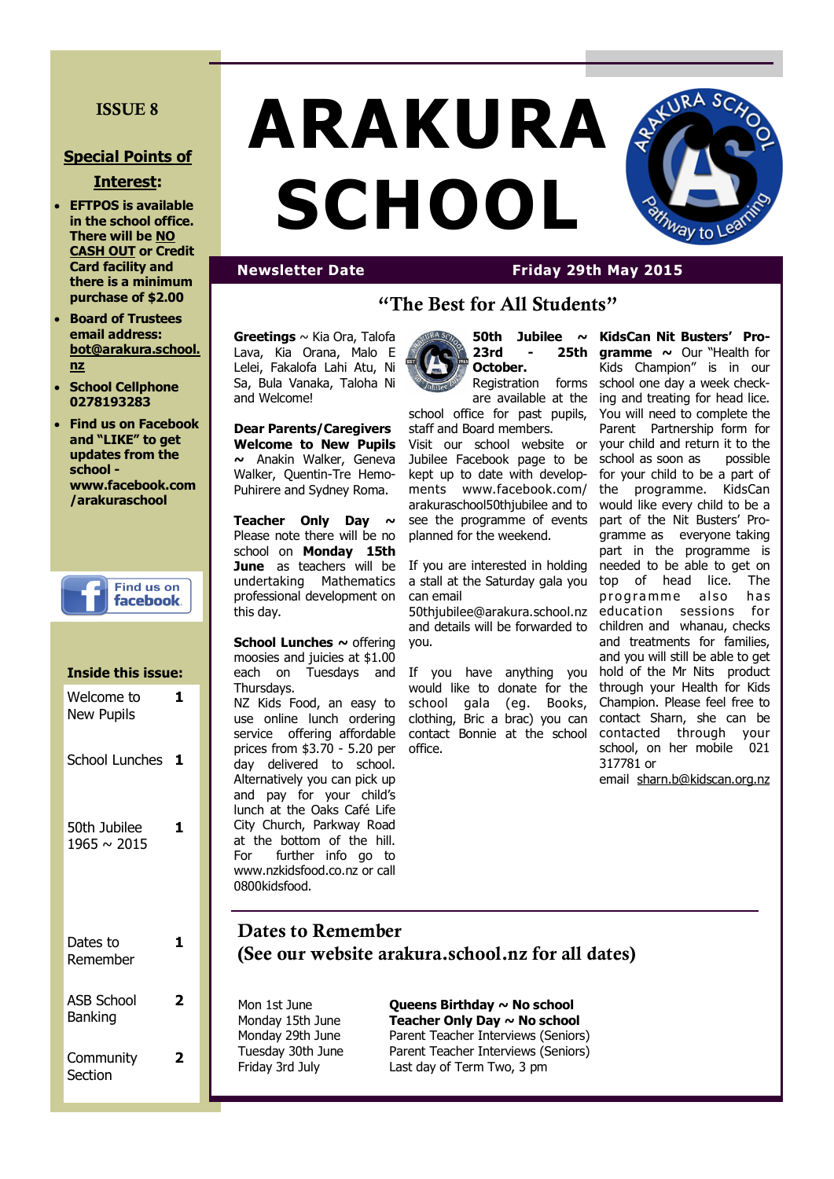#### **ISSUE 8**

#### **Special Points of**

#### **Interest:**

- **EFTPOS is available in the school office. There will be NO CASH OUT or Credit Card facility and there is a minimum purchase of \$2.00**
- **Board of Trustees email address: bot@arakura.school. nz**
- **School Cellphone 0278193283**
- **Find us on Facebook and "LIKE" to get updates from the school www.facebook.com /arakuraschool**



# **Inside this issue:** Welcome to New Pupils **1** School Lunches **1** 50th Jubilee 1965 ~ 2015 **1** Dates to Remember **1** ASB School Banking **2 Community Section 2**

# **ARAKURA SCHOOL**



#### **Newsletter Date Friday 29th May 2015**

## **"The Best for All Students"**

**Greetings** ~ Kia Ora, Talofa Lava, Kia Orana, Malo E Lelei, Fakalofa Lahi Atu, Ni Sa, Bula Vanaka, Taloha Ni and Welcome!

**Dear Parents/Caregivers Welcome to New Pupils ~** Anakin Walker, Geneva Walker, Quentin-Tre Hemo-Puhirere and Sydney Roma.

**Teacher Only Day ~**  Please note there will be no school on **Monday 15th June** as teachers will be undertaking Mathematics professional development on this day.

**School Lunches ~ offering** moosies and juicies at \$1.00 each on Tuesdays and Thursdays.

NZ Kids Food, an easy to use online lunch ordering service offering affordable prices from \$3.70 - 5.20 per day delivered to school. Alternatively you can pick up and pay for your child's lunch at the Oaks Café Life City Church, Parkway Road at the bottom of the hill. For further info go to www.nzkidsfood.co.nz or call 0800kidsfood.



Registration forms are available at the school office for past pupils,

staff and Board members. Visit our school website or Jubilee Facebook page to be kept up to date with developments www.facebook.com/ arakuraschool50thjubilee and to see the programme of events planned for the weekend.

If you are interested in holding a stall at the Saturday gala you can email

50thjubilee@arakura.school.nz and details will be forwarded to you.

If you have anything you would like to donate for the school gala (eg. Books, clothing, Bric a brac) you can contact Bonnie at the school office.

**50th Jubilee ~ KidsCan Nit Busters' Programme ~** Our "Health for Kids Champion" is in our school one day a week checking and treating for head lice. You will need to complete the Parent Partnership form for your child and return it to the school as soon as possible for your child to be a part of the programme. KidsCan would like every child to be a part of the Nit Busters' Programme as everyone taking part in the programme is needed to be able to get on top of head lice. The programme also has education sessions for children and whanau, checks and treatments for families, and you will still be able to get hold of the Mr Nits product through your Health for Kids Champion. Please feel free to contact Sharn, she can be contacted through your school, on her mobile 021 317781 or

email [sharn.b@kidscan.org.nz](mailto:sharn.b@kidscan.org.nz)

# **Dates to Remember (See our website arakura.school.nz for all dates)**

Mon 1st June **Queens Birthday ~ No school** Monday 15th June **Teacher Only Day ~ No school** Monday 29th June Parent Teacher Interviews (Seniors) Tuesday 30th June Parent Teacher Interviews (Seniors) Friday 3rd July Last day of Term Two, 3 pm